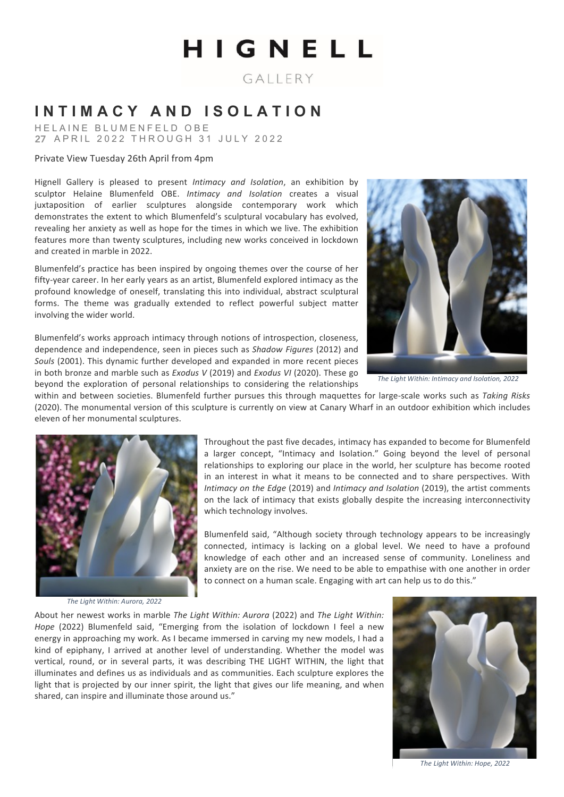# HIGNELL

GALLERY

# **INTIMACY AND ISOLATION**

HELAINE BLUMENFELD OBE 27 APRIL 2022 THROUGH 31 JULY 2022

## Private View Tuesday 26th April from 4pm

Hignell Gallery is pleased to present *Intimacy and Isolation*, an exhibition by sculptor Helaine Blumenfeld OBE. *Intimacy and Isolation* creates a visual juxtaposition of earlier sculptures alongside contemporary work which demonstrates the extent to which Blumenfeld's sculptural vocabulary has evolved, revealing her anxiety as well as hope for the times in which we live. The exhibition features more than twenty sculptures, including new works conceived in lockdown and created in marble in 2022.

Blumenfeld's practice has been inspired by ongoing themes over the course of her fifty-year career. In her early years as an artist, Blumenfeld explored intimacy as the profound knowledge of oneself, translating this into individual, abstract sculptural forms. The theme was gradually extended to reflect powerful subject matter involving the wider world.

Blumenfeld's works approach intimacy through notions of introspection, closeness, dependence and independence, seen in pieces such as *Shadow Figures* (2012) and *Souls* (2001). This dynamic further developed and expanded in more recent pieces in both bronze and marble such as *Exodus* V (2019) and *Exodus VI* (2020). These go



The Light Within: Intimacy and Isolation, 2022

beyond the exploration of personal relationships to considering the relationships within and between societies. Blumenfeld further pursues this through maquettes for large-scale works such as *Taking Risks* (2020). The monumental version of this sculpture is currently on view at Canary Wharf in an outdoor exhibition which includes eleven of her monumental sculptures.



*The Light Within: Aurora, 2022*

a larger concept, "Intimacy and Isolation." Going beyond the level of personal relationships to exploring our place in the world, her sculpture has become rooted in an interest in what it means to be connected and to share perspectives. With *Intimacy on the Edge* (2019) and *Intimacy and Isolation* (2019), the artist comments on the lack of intimacy that exists globally despite the increasing interconnectivity which technology involves.

Throughout the past five decades, intimacy has expanded to become for Blumenfeld

Blumenfeld said, "Although society through technology appears to be increasingly connected, intimacy is lacking on a global level. We need to have a profound knowledge of each other and an increased sense of community. Loneliness and anxiety are on the rise. We need to be able to empathise with one another in order to connect on a human scale. Engaging with art can help us to do this."

About her newest works in marble *The Light Within: Aurora* (2022) and *The Light Within: Hope* (2022) Blumenfeld said, "Emerging from the isolation of lockdown I feel a new energy in approaching my work. As I became immersed in carving my new models, I had a kind of epiphany, I arrived at another level of understanding. Whether the model was vertical, round, or in several parts, it was describing THE LIGHT WITHIN, the light that illuminates and defines us as individuals and as communities. Each sculpture explores the light that is projected by our inner spirit, the light that gives our life meaning, and when shared, can inspire and illuminate those around us."



*The Light Within: Hope, 2022*